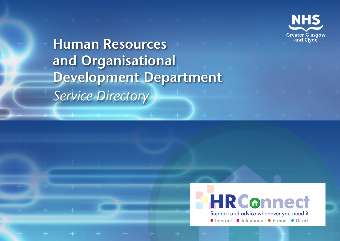

**Human Resources and Organisational Development Department** *Service Directory*

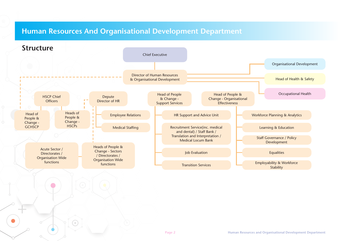# **Human Resources And Organisational Development Department**

 $\bullet$ 

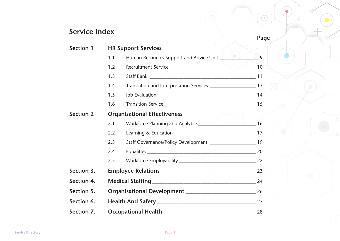# **Service Index**

B

| <b>Section 1</b> | <b>HR Support Services</b> |                                         |            |
|------------------|----------------------------|-----------------------------------------|------------|
|                  | 1.1                        | Human Resources Support and Advice Unit | $\bigcirc$ |
|                  | 1.2                        | Recruitment Service 2008 2009 10        |            |
|                  | 1.3                        |                                         |            |
|                  | 1.4                        |                                         |            |
|                  | 1.5                        |                                         |            |
|                  | 1.6                        | Transition Service 2020 2020 2021 15    |            |
| <b>Section 2</b> |                            | <b>Organisational Effectiveness</b>     |            |
|                  | 2.1                        |                                         |            |
|                  | 2.2                        | Learning & Education 17                 |            |
|                  | 2.3                        |                                         |            |
|                  | 2.4                        | Equalities 20                           |            |
|                  | 2.5                        | Workforce Employability 22              |            |
| Section 3.       |                            |                                         |            |
| Section 4.       |                            |                                         |            |
| Section 5.       |                            |                                         |            |
| Section 6.       | Health And Safety 27       |                                         |            |
| Section 7.       |                            |                                         |            |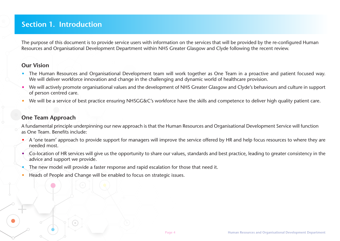## **Section 1. Introduction**

The purpose of this document is to provide service users with information on the services that will be provided by the re-configured Human Resources and Organisational Development Department within NHS Greater Glasgow and Clyde following the recent review.

#### **Our Vision**

- The Human Resources and Organisational Development team will work together as One Team in a proactive and patient focused way. We will deliver workforce innovation and change in the challenging and dynamic world of healthcare provision.
- We will actively promote organisational values and the development of NHS Greater Glasgow and Clyde's behaviours and culture in support of person centred care.
- We will be a service of best practice ensuring NHSGG&C's workforce have the skills and competence to deliver high quality patient care.

#### **One Team Approach**

A fundamental principle underpinning our new approach is that the Human Resources and Organisational Development Service will function as One Team. Benefits include:

- A 'one team' approach to provide support for managers will improve the service offered by HR and help focus resources to where they are needed most.
- Co-location of HR services will give us the opportunity to share our values, standards and best practice, leading to greater consistency in the advice and support we provide.
- The new model will provide a faster response and rapid escalation for those that need it.
- Heads of People and Change will be enabled to focus on strategic issues.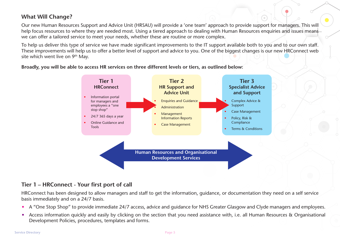#### **What Will Change?**

Our new Human Resources Support and Advice Unit (HRSAU) will provide a 'one team' approach to provide support for managers. This will help focus resources to where they are needed most. Using a tiered approach to dealing with Human Resources enquiries and issues means we can offer a tailored service to meet your needs, whether these are routine or more complex.

To help us deliver this type of service we have made significant improvements to the IT support available both to you and to our own staff. These improvements will help us to offer a better level of support and advice to you. One of the biggest changes is our new HRConnect web site which went live on 9<sup>th</sup> May.

> **Tier 1 HRConnect Human Resources and Organisational Development Services Tier 2 HR Support and Advice Unit Tier 3 Specialist Advice and Support** • Information portal for managers and employees a "one stop shop" • 24/7 365 days a year • Online Guidance and Tools • Enquiries and Guidance **Administration Management** Information Reports • Case Management Complex Advice & Support • Case Management Policy, Risk & Compliance • Terms & Conditions

**Broadly, you will be able to access HR services on three different levels or tiers, as outlined below:** 

### **Tier 1 – HRConnect - Your first port of call**

HRConnect has been designed to allow managers and staff to get the information, guidance, or documentation they need on a self service basis immediately and on a 24/7 basis.

- A "One Stop Shop" to provide immediate 24/7 access, advice and guidance for NHS Greater Glasgow and Clyde managers and employees.
- Access information quickly and easily by clicking on the section that you need assistance with, i.e. all Human Resources & Organisational Development Policies, procedures, templates and forms.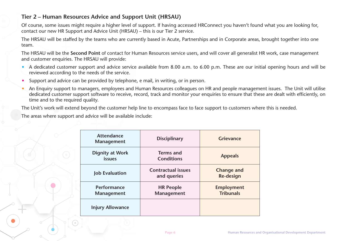#### **Tier 2 – Human Resources Advice and Support Unit (HRSAU)**

Of course, some issues might require a higher level of support. If having accessed HRConnect you haven't found what you are looking for, contact our new HR Support and Advice Unit (HRSAU) – this is our Tier 2 service.

The HRSAU will be staffed by the teams who are currently based in Acute, Partnerships and in Corporate areas, brought together into one team.

The HRSAU will be the **Second Point** of contact for Human Resources service users, and will cover all generalist HR work, case management and customer enquiries. The HRSAU will provide:

- A dedicated customer support and advice service available from 8.00 a.m. to 6.00 p.m. These are our initial opening hours and will be reviewed according to the needs of the service.
- Support and advice can be provided by telephone, e mail, in writing, or in person.
- An Enquiry support to managers, employees and Human Resources colleagues on HR and people management issues. The Unit will utilise dedicated customer support software to receive, record, track and monitor your enquiries to ensure that these are dealt with efficiently, on time and to the required quality.

The Unit's work will extend beyond the customer help line to encompass face to face support to customers where this is needed.

The areas where support and advice will be available include:

| <b>Attendance</b><br>Management         | <b>Disciplinary</b>                      | <b>Grievance</b>                      |
|-----------------------------------------|------------------------------------------|---------------------------------------|
| <b>Dignity at Work</b><br><b>issues</b> | <b>Terms and</b><br><b>Conditions</b>    | <b>Appeals</b>                        |
| <b>Job Evaluation</b>                   | <b>Contractual issues</b><br>and queries | <b>Change and</b><br><b>Re-design</b> |
| Performance<br>Management               | <b>HR People</b><br>Management           | <b>Employment</b><br><b>Tribunals</b> |
| <b>Injury Allowance</b>                 |                                          |                                       |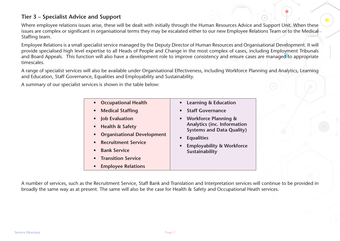#### **Tier 3 – Specialist Advice and Support**

Where employee relations issues arise, these will be dealt with initially through the Human Resources Advice and Support Unit. When these issues are complex or significant in organisational terms they may be escalated either to our new Employee Relations Team or to the Medical Staffing team.

Employee Relations is a small specialist service managed by the Deputy Director of Human Resources and Organisational Development. It will provide specialised high level expertise to all Heads of People and Change in the most complex of cases, including Employment Tribunals and Board Appeals. This function will also have a development role to improve consistency and ensure cases are managed to appropriate timescales.

A range of specialist services will also be available under Organisational Effectiveness, including Workforce Planning and Analytics, Learning and Education, Staff Governance, Equalities and Employability and Sustainability.

A summary of our specialist services is shown in the table below:

| • Occupational Health                          | • Learning & Education                                                 |
|------------------------------------------------|------------------------------------------------------------------------|
| • Medical Staffing                             | • Staff Governance                                                     |
| <b>Job Evaluation</b><br>$\bullet$             | <b>Workforce Planning &amp;</b><br>$\bullet$                           |
| • Health & Safety                              | <b>Analytics (inc. Information</b><br><b>Systems and Data Quality)</b> |
| <b>Organisational Development</b><br>$\bullet$ | <b>Equalities</b><br>$\bullet$                                         |
| • Recruitment Service                          | <b>Employability &amp; Workforce</b><br>$\bullet$                      |
| • Bank Service                                 | Sustainability                                                         |
| • Transition Service                           |                                                                        |
| <b>Employee Relations</b><br>$\bullet$         |                                                                        |

A number of services, such as the Recruitment Service, Staff Bank and Translation and Interpretation services will continue to be provided in broadly the same way as at present. The same will also be the case for Health & Safety and Occupational Heath services.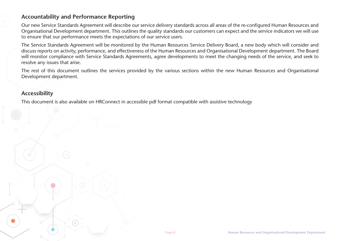#### **Accountability and Performance Reporting**

Our new Service Standards Agreement will describe our service delivery standards across all areas of the re-configured Human Resources and Organisational Development department. This outlines the quality standards our customers can expect and the service indicators we will use to ensure that our performance meets the expectations of our service users.

The Service Standards Agreement will be monitored by the Human Resources Service Delivery Board, a new body which will consider and discuss reports on activity, performance, and effectiveness of the Human Resources and Organisational Development department. The Board will monitor compliance with Service Standards Agreements, agree developments to meet the changing needs of the service, and seek to resolve any issues that arise.

The rest of this document outlines the services provided by the various sections within the new Human Resources and Organisational Development department.

#### **Accessibility**

This document is also available on HRConnect in accessible pdf format compatible with assistive technology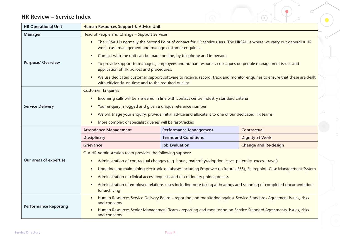### **HR Review – Service Index**

| <b>HR Operational Unit</b>   | Human Resources Support & Advice Unit                                                                                                                                                            |                                                                                                                 |                             |  |
|------------------------------|--------------------------------------------------------------------------------------------------------------------------------------------------------------------------------------------------|-----------------------------------------------------------------------------------------------------------------|-----------------------------|--|
| Manager                      | Head of People and Change - Support Services                                                                                                                                                     |                                                                                                                 |                             |  |
|                              | The HRSAU is normally the Second Point of contact for HR service users. The HRSAU is where we carry out generalist HR<br>work, case management and manage customer enquiries.                    |                                                                                                                 |                             |  |
|                              | $\bullet$                                                                                                                                                                                        | Contact with the unit can be made on-line, by telephone and in person.                                          |                             |  |
| <b>Purpose/ Overview</b>     | To provide support to managers, employees and human resources colleagues on people management issues and<br>application of HR polices and procedures.                                            |                                                                                                                 |                             |  |
|                              | We use dedicated customer support software to receive, record, track and monitor enquiries to ensure that these are dealt<br>$\bullet$<br>with efficiently, on time and to the required quality. |                                                                                                                 |                             |  |
|                              | <b>Customer Enquiries</b>                                                                                                                                                                        |                                                                                                                 |                             |  |
|                              | Incoming calls will be answered in line with contact centre industry standard criteria<br>$\bullet$                                                                                              |                                                                                                                 |                             |  |
| <b>Service Delivery</b>      | Your enquiry is logged and given a unique reference number<br>$\bullet$                                                                                                                          |                                                                                                                 |                             |  |
|                              | We will triage your enquiry, provide initial advice and allocate it to one of our dedicated HR teams<br>$\bullet$                                                                                |                                                                                                                 |                             |  |
|                              | More complex or specialist queries will be fast-tracked                                                                                                                                          |                                                                                                                 |                             |  |
|                              | <b>Attendance Management</b>                                                                                                                                                                     | <b>Performance Management</b>                                                                                   | <b>Contractual</b>          |  |
|                              | <b>Disciplinary</b>                                                                                                                                                                              | <b>Terms and Conditions</b>                                                                                     | <b>Dignity at Work</b>      |  |
|                              | <b>Grievance</b>                                                                                                                                                                                 | <b>Job Evaluation</b>                                                                                           | <b>Change and Re-design</b> |  |
|                              | Our HR Administration team provides the following support:                                                                                                                                       |                                                                                                                 |                             |  |
| Our areas of expertise       | Administration of contractual changes (e.g. hours, maternity/adoption leave, paternity, excess travel)<br>$\bullet$                                                                              |                                                                                                                 |                             |  |
|                              | Updating and maintaining electronic databases including Empower (in future eESS), Sharepoint, Case Management System<br>$\bullet$                                                                |                                                                                                                 |                             |  |
|                              | Administration of clinical access requests and discretionary points process<br>$\bullet$                                                                                                         |                                                                                                                 |                             |  |
|                              | Administration of employee relations cases including note taking at hearings and scanning of completed documentation<br>$\bullet$<br>for archiving                                               |                                                                                                                 |                             |  |
|                              | Human Resources Service Delivery Board – reporting and monitoring against Service Standards Agreement issues, risks<br>$\bullet$<br>and concerns.                                                |                                                                                                                 |                             |  |
| <b>Performance Reporting</b> | and concerns.                                                                                                                                                                                    | Human Resources Senior Management Team - reporting and monitoring on Service Standard Agreements, issues, risks |                             |  |

€

 $\circ$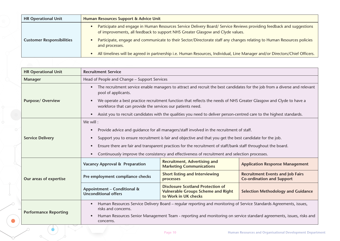| <b>HR Operational Unit</b>       | Human Resources Support & Advice Unit                                                                                                                                                                  |  |  |
|----------------------------------|--------------------------------------------------------------------------------------------------------------------------------------------------------------------------------------------------------|--|--|
|                                  | Participate and engage in Human Resources Service Delivery Board/ Service Reviews providing feedback and suggestions<br>of improvements, all feedback to support NHS Greater Glasgow and Clyde values. |  |  |
| <b>Customer Responsibilities</b> | Participate, engage and communicate to their Sector/Directorate staff any changes relating to Human Resources policies<br>and processes.                                                               |  |  |
|                                  | All timelines will be agreed in partnership i.e. Human Resources, Individual, Line Manager and/or Directors/Chief Officers.                                                                            |  |  |

| <b>HR Operational Unit</b>                                                                                                                                                                                                | <b>Recruitment Service</b>                                                                                                                                     |                                                                                                                       |                                                                             |
|---------------------------------------------------------------------------------------------------------------------------------------------------------------------------------------------------------------------------|----------------------------------------------------------------------------------------------------------------------------------------------------------------|-----------------------------------------------------------------------------------------------------------------------|-----------------------------------------------------------------------------|
| <b>Manager</b>                                                                                                                                                                                                            | Head of People and Change - Support Services                                                                                                                   |                                                                                                                       |                                                                             |
|                                                                                                                                                                                                                           | The recruitment service enable managers to attract and recruit the best candidates for the job from a diverse and relevant<br>$\bullet$<br>pool of applicants. |                                                                                                                       |                                                                             |
| <b>Purpose/ Overview</b><br>We operate a best practice recruitment function that reflects the needs of NHS Greater Glasgow and Clyde to have a<br>$\bullet$<br>workforce that can provide the services our patients need. |                                                                                                                                                                |                                                                                                                       |                                                                             |
|                                                                                                                                                                                                                           | $\bullet$                                                                                                                                                      | Assist you to recruit candidates with the qualities you need to deliver person-centred care to the highest standards. |                                                                             |
|                                                                                                                                                                                                                           | We will:                                                                                                                                                       |                                                                                                                       |                                                                             |
|                                                                                                                                                                                                                           | Provide advice and quidance for all managers/staff involved in the recruitment of staff.<br>$\bullet$                                                          |                                                                                                                       |                                                                             |
| <b>Service Delivery</b>                                                                                                                                                                                                   | Support you to ensure recruitment is fair and objective and that you get the best candidate for the job.<br>$\bullet$                                          |                                                                                                                       |                                                                             |
|                                                                                                                                                                                                                           | Ensure there are fair and transparent practices for the recruitment of staff/bank staff throughout the board.<br>$\bullet$                                     |                                                                                                                       |                                                                             |
| Continuously improve the consistency and effectiveness of recruitment and selection processes.<br>$\bullet$                                                                                                               |                                                                                                                                                                |                                                                                                                       |                                                                             |
| Our areas of expertise                                                                                                                                                                                                    | <b>Vacancy Approval &amp; Preparation</b>                                                                                                                      | <b>Recruitment, Advertising and</b><br><b>Marketing Communications</b>                                                | <b>Application Response Management</b>                                      |
|                                                                                                                                                                                                                           | Pre employment compliance checks                                                                                                                               | <b>Short listing and Interviewing</b><br>processes                                                                    | <b>Recruitment Events and Job Fairs</b><br><b>Co-ordination and Support</b> |
|                                                                                                                                                                                                                           | Appointment - Conditional &<br><b>Unconditional offers</b>                                                                                                     | <b>Disclosure Scotland Protection of</b><br><b>Vulnerable Groups Scheme and Right</b><br>to Work in UK checks         | <b>Selection Methodology and Guidance</b>                                   |
|                                                                                                                                                                                                                           | Human Resources Service Delivery Board – regular reporting and monitoring of Service Standards Agreements, issues,<br>$\bullet$<br>risks and concerns.         |                                                                                                                       |                                                                             |
| <b>Performance Reporting</b>                                                                                                                                                                                              | $\bullet$<br>concerns.                                                                                                                                         | Human Resources Senior Management Team - reporting and monitoring on service standard agreements, issues, risks and   |                                                                             |
|                                                                                                                                                                                                                           |                                                                                                                                                                | Page 10                                                                                                               | Human Resources and Organisational Development Departn                      |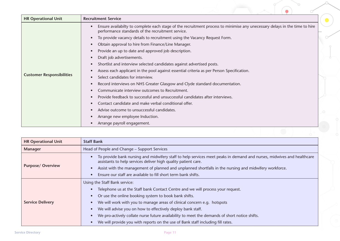| <b>HR Operational Unit</b>       | <b>Recruitment Service</b>                                                                                                                                                      |  |  |
|----------------------------------|---------------------------------------------------------------------------------------------------------------------------------------------------------------------------------|--|--|
|                                  | Ensure availabilty to complete each stage of the recruitment process to minimise any unecessary delays in the time to hire<br>performance standards of the recruitment service. |  |  |
|                                  | To provide vacancy details to recruitment using the Vacancy Request Form.                                                                                                       |  |  |
|                                  | Obtain approval to hire from Finance/Line Manager.<br>$\bullet$                                                                                                                 |  |  |
|                                  | Provide an up to date and approved job description.<br>$\bullet$                                                                                                                |  |  |
|                                  | Draft job advertisements.                                                                                                                                                       |  |  |
|                                  | Shortlist and interview selected candidates against advertised posts.<br>$\bullet$                                                                                              |  |  |
|                                  | Assess each applicant in the pool against essential criteria as per Person Specification.                                                                                       |  |  |
| <b>Customer Responsibilities</b> | Select candidates for interview.                                                                                                                                                |  |  |
|                                  | Record interviews on NHS Greater Glasgow and Clyde standard documentation.<br>$\bullet$                                                                                         |  |  |
|                                  | Communicate interview outcomes to Recruitment.<br>$\bullet$                                                                                                                     |  |  |
|                                  | Provide feedback to successful and unsuccessful candidates after interviews.<br>$\bullet$                                                                                       |  |  |
|                                  | Contact candidate and make verbal conditional offer.                                                                                                                            |  |  |
|                                  | Advise outcome to unsuccessful candidates.<br>$\bullet$                                                                                                                         |  |  |
|                                  | Arrange new employee Induction.                                                                                                                                                 |  |  |
|                                  | Arrange payroll engagement.                                                                                                                                                     |  |  |

 $\circ$ 

 $\sigma$ 

 $\bullet$ 

| <b>HR Operational Unit</b> | <b>Staff Bank</b>                                                                                                                                                                       |  |  |
|----------------------------|-----------------------------------------------------------------------------------------------------------------------------------------------------------------------------------------|--|--|
| <b>Manager</b>             | Head of People and Change - Support Services                                                                                                                                            |  |  |
|                            | To provide bank nursing and midwifery staff to help services meet peaks in demand and nurses, midwives and healthcare<br>assistants to help services deliver high quality patient care. |  |  |
| <b>Purpose/ Overview</b>   | Assist with the management of planned and unplanned shortfalls in the nursing and midwifery workforce.                                                                                  |  |  |
|                            | Ensure our staff are available to fill short term bank shifts.                                                                                                                          |  |  |
|                            | Using the Staff Bank service:                                                                                                                                                           |  |  |
|                            | Telephone us at the Staff bank Contact Centre and we will process your request.                                                                                                         |  |  |
|                            | Or use the online booking system to book bank shifts.                                                                                                                                   |  |  |
| <b>Service Delivery</b>    | We will work with you to manage areas of clinical concern e.g. hotspots                                                                                                                 |  |  |
|                            | We will advise you on how to effectively deploy bank staff.                                                                                                                             |  |  |
|                            | We pro-actively collate nurse future availability to meet the demands of short notice shifts.                                                                                           |  |  |
|                            | We will provide you with reports on the use of Bank staff including fill rates.                                                                                                         |  |  |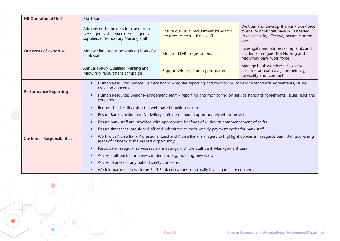| <b>HR Operational Unit</b>       | <b>Staff Bank</b>                                                                                                                                                                                                                                                                                                                                                                                                                                                                                                                                                                                                                                                                                                                                                                                                                                |                                                                          |                                                                                                                                          |  |
|----------------------------------|--------------------------------------------------------------------------------------------------------------------------------------------------------------------------------------------------------------------------------------------------------------------------------------------------------------------------------------------------------------------------------------------------------------------------------------------------------------------------------------------------------------------------------------------------------------------------------------------------------------------------------------------------------------------------------------------------------------------------------------------------------------------------------------------------------------------------------------------------|--------------------------------------------------------------------------|------------------------------------------------------------------------------------------------------------------------------------------|--|
| Our areas of expertise           | Administer the process for use of non<br>NHS agency staff via external agency<br>suppliers of temporary Nursing staff                                                                                                                                                                                                                                                                                                                                                                                                                                                                                                                                                                                                                                                                                                                            | Ensure our usual recruitment standards<br>are used to recruit Bank staff | We train and develop the bank workforce<br>to ensure bank staff have skills needed<br>to deliver safe, effective, person centred<br>care |  |
|                                  | Monitor limitations on working hours for<br>bank staff                                                                                                                                                                                                                                                                                                                                                                                                                                                                                                                                                                                                                                                                                                                                                                                           | <b>Monitor NMC registrations</b>                                         | Investigate and address complaints and<br>incidents in regard the Nursing and<br>Midwifery bank work force                               |  |
|                                  | Annual Newly Qualified Nursing and<br>Midwifery recruitment campaign                                                                                                                                                                                                                                                                                                                                                                                                                                                                                                                                                                                                                                                                                                                                                                             | Support winter planning programme                                        | Manage bank workforce sickness/<br>absence, annual leave, competency,<br>capability and conduct                                          |  |
| <b>Performance Reporting</b>     | Human Resources Service Delivery Board – regular reporting and monitoring of Service Standards Agreements, issues,<br>risks and concerns.<br>Human Resources Senior Management Team - reporting and monitoring on service standard agreements, issues, risks and<br>concerns.                                                                                                                                                                                                                                                                                                                                                                                                                                                                                                                                                                    |                                                                          |                                                                                                                                          |  |
| <b>Customer Responsibilities</b> | Request bank shifts using the web based booking system.<br>$\bullet$<br>Ensure Bank Nursing and Midwifery staff are managed appropriately whilst on shift.<br>Ensure bank staff are provided with appropriate briefings of duties on commencement of shifts.<br>Ensure timesheets are signed off and submitted to meet weekly payment cycles for bank staff.<br>Work with Nurse Bank Professional Lead and Nurse Bank managers to highlight concerns in regards bank staff addressing<br>areas of concern at the earliest opportunity.<br>Participate in regular service review meetings with the Staff Bank Management team.<br>Advise Staff bank of increases in demand e.g. opening new ward.<br>Advise of areas of any patient safety concerns.<br>Work in partnership with the Staff Bank colleagues to formally investigate care concerns. |                                                                          |                                                                                                                                          |  |

 $\alpha$ 

 $\alpha$ 

 $\circ$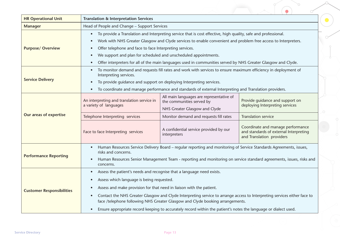| <b>HR Operational Unit</b>       | <b>Translation &amp; Interpretation Services</b>                                                                                                                                                                       |                                                                                                                 |                                                                                                          |  |
|----------------------------------|------------------------------------------------------------------------------------------------------------------------------------------------------------------------------------------------------------------------|-----------------------------------------------------------------------------------------------------------------|----------------------------------------------------------------------------------------------------------|--|
| <b>Manager</b>                   | Head of People and Change - Support Services                                                                                                                                                                           |                                                                                                                 |                                                                                                          |  |
|                                  | $\bullet$                                                                                                                                                                                                              | To provide a Translation and Interpreting service that is cost effective, high quality, safe and professional.  |                                                                                                          |  |
|                                  | Work with NHS Greater Glasgow and Clyde services to enable convenient and problem free access to Interpreters.<br>$\bullet$                                                                                            |                                                                                                                 |                                                                                                          |  |
| <b>Purpose/ Overview</b>         | Offer telephone and face to face Interpreting services.<br>$\bullet$                                                                                                                                                   |                                                                                                                 |                                                                                                          |  |
|                                  | We support and plan for scheduled and unscheduled appointments.<br>$\bullet$                                                                                                                                           |                                                                                                                 |                                                                                                          |  |
|                                  | $\bullet$                                                                                                                                                                                                              | Offer interpreters for all of the main languages used in communities served by NHS Greater Glasgow and Clyde.   |                                                                                                          |  |
|                                  | $\bullet$<br>Interpreting services.                                                                                                                                                                                    | To monitor demand and requests fill rates and work with services to ensure maximum efficiency in deployment of  |                                                                                                          |  |
| <b>Service Delivery</b>          | To provide guidance and support on deploying Interpreting services.<br>$\bullet$                                                                                                                                       |                                                                                                                 |                                                                                                          |  |
|                                  | $\bullet$                                                                                                                                                                                                              | To coordinate and manage performance and standards of external Interpreting and Translation providers.          |                                                                                                          |  |
|                                  | An interpreting and translation service in<br>a variety of languages                                                                                                                                                   | All main languages are representative of<br>the communities served by<br>NHS Greater Glasgow and Clyde          | Provide quidance and support on<br>deploying Interpreting services                                       |  |
| Our areas of expertise           | Telephone Interpreting services                                                                                                                                                                                        | Monitor demand and requests fill rates                                                                          | <b>Translation service</b>                                                                               |  |
|                                  | Face to face Interpreting services                                                                                                                                                                                     | A confidential service provided by our<br>interpreters                                                          | Coordinate and manage performance<br>and standards of external Interpreting<br>and Translation providers |  |
|                                  | Human Resources Service Delivery Board – regular reporting and monitoring of Service Standards Agreements, issues,<br>$\bullet$<br>risks and concerns.                                                                 |                                                                                                                 |                                                                                                          |  |
| <b>Performance Reporting</b>     | Human Resources Senior Management Team - reporting and monitoring on service standard agreements, issues, risks and<br>$\bullet$<br>concerns.                                                                          |                                                                                                                 |                                                                                                          |  |
|                                  | Assess the patient's needs and recognise that a language need exists.<br>$\bullet$                                                                                                                                     |                                                                                                                 |                                                                                                          |  |
| <b>Customer Responsibilities</b> | Assess which language is being requested.<br>$\bullet$                                                                                                                                                                 |                                                                                                                 |                                                                                                          |  |
|                                  | Assess and make provision for that need in liaison with the patient.<br>$\bullet$                                                                                                                                      |                                                                                                                 |                                                                                                          |  |
|                                  | Contact the NHS Greater Glasgow and Clyde Interpreting service to arrange access to Interpreting services either face to<br>$\bullet$<br>face /telephone following NHS Greater Glasgow and Clyde booking arrangements. |                                                                                                                 |                                                                                                          |  |
|                                  | $\bullet$                                                                                                                                                                                                              | Ensure appropriate record keeping to accurately record within the patient's notes the language or dialect used. |                                                                                                          |  |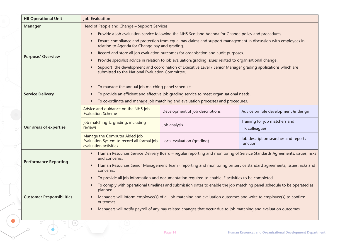| <b>HR Operational Unit</b>       | <b>Job Evaluation</b>                                                                                                                                                                                                                                                                                                                                                                                                                                                                                                                                                                                                                      |                                 |                                                       |  |
|----------------------------------|--------------------------------------------------------------------------------------------------------------------------------------------------------------------------------------------------------------------------------------------------------------------------------------------------------------------------------------------------------------------------------------------------------------------------------------------------------------------------------------------------------------------------------------------------------------------------------------------------------------------------------------------|---------------------------------|-------------------------------------------------------|--|
| <b>Manager</b>                   | Head of People and Change - Support Services                                                                                                                                                                                                                                                                                                                                                                                                                                                                                                                                                                                               |                                 |                                                       |  |
| <b>Purpose/ Overview</b>         | Provide a job evaluation service following the NHS Scotland Agenda for Change policy and procedures.<br>Ensure compliance and protection from equal pay claims and support management in discussion with employees in<br>relation to Agenda for Change pay and grading.<br>Record and store all job evaluation outcomes for organisation and audit purposes.<br>Provide specialist advice in relation to job evaluation/grading issues related to organisational change.<br>Support the development and coordination of Executive Level / Senior Manager grading applications which are<br>submitted to the National Evaluation Committee. |                                 |                                                       |  |
| <b>Service Delivery</b>          | To manage the annual job matching panel schedule.<br>To provide an efficient and effective job grading service to meet organisational needs.<br>To co-ordinate and manage job matching and evaluation processes and procedures.                                                                                                                                                                                                                                                                                                                                                                                                            |                                 |                                                       |  |
|                                  | Advice and guidance on the NHS Job<br><b>Evaluation Scheme</b>                                                                                                                                                                                                                                                                                                                                                                                                                                                                                                                                                                             | Development of job descriptions | Advice on role development & design                   |  |
| Our areas of expertise           | Job matching & grading, including<br><b>reviews</b>                                                                                                                                                                                                                                                                                                                                                                                                                                                                                                                                                                                        | Job analysis                    | Training for job matchers and<br><b>HR</b> colleagues |  |
|                                  | Manage the Computer Aided Job<br>Evaluation System to record all formal job<br>evaluation activities                                                                                                                                                                                                                                                                                                                                                                                                                                                                                                                                       | Local evaluation (grading)      | Job description searches and reports<br>function      |  |
| <b>Performance Reporting</b>     | Human Resources Service Delivery Board – regular reporting and monitoring of Service Standards Agreements, issues, risks<br>and concerns.                                                                                                                                                                                                                                                                                                                                                                                                                                                                                                  |                                 |                                                       |  |
|                                  | Human Resources Senior Management Team - reporting and monitoring on service standard agreements, issues, risks and<br>concerns.                                                                                                                                                                                                                                                                                                                                                                                                                                                                                                           |                                 |                                                       |  |
| <b>Customer Responsibilities</b> | To provide all job information and documentation required to enable JE activities to be completed.<br>To comply with operational timelines and submission dates to enable the job matching panel schedule to be operated as<br>planned.<br>Managers will inform employee(s) of all job matching and evaluation outcomes and write to employee(s) to confirm<br>outcomes.<br>Managers will notify payroll of any pay related changes that occur due to job matching and evaluation outcomes.                                                                                                                                                |                                 |                                                       |  |

 $\circ$ 

 $\alpha$ 

 $\odot$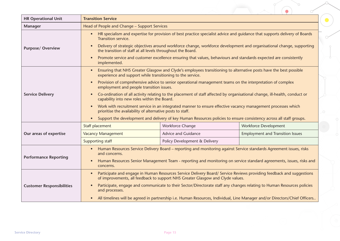| <b>HR Operational Unit</b>       | <b>Transition Service</b>                                                                                                                                                                                           |                                                                                                                            |                                         |  |
|----------------------------------|---------------------------------------------------------------------------------------------------------------------------------------------------------------------------------------------------------------------|----------------------------------------------------------------------------------------------------------------------------|-----------------------------------------|--|
| <b>Manager</b>                   | Head of People and Change - Support Services                                                                                                                                                                        |                                                                                                                            |                                         |  |
|                                  | $\bullet$<br>Transition service.                                                                                                                                                                                    | HR specialism and expertise for provision of best practice specialist advice and quidance that supports delivery of Boards |                                         |  |
| Purpose/Overview                 | $\bullet$<br>the transition of staff at all levels throughout the Board.                                                                                                                                            | Delivery of strategic objectives around workforce change, workforce development and organisational change, supporting      |                                         |  |
|                                  | $\bullet$<br>implemented.                                                                                                                                                                                           | Promote service and customer excellence ensuring that values, behaviours and standards expected are consistently           |                                         |  |
|                                  | $\bullet$<br>experience and support while transitioning to the service.                                                                                                                                             | Ensuring that NHS Greater Glasgow and Clyde's employees transitioning to alternative posts have the best possible          |                                         |  |
|                                  | Provision of comprehensive advice to senior operational management teams on the interpretation of complex<br>$\bullet$<br>employment and people transition issues.                                                  |                                                                                                                            |                                         |  |
| <b>Service Delivery</b>          | Co-ordination of all activity relating to the placement of staff affected by organisational change, ill-health, conduct or<br>$\bullet$<br>capability into new roles within the Board.                              |                                                                                                                            |                                         |  |
|                                  | Work with recruitment service in an integrated manner to ensure effective vacancy management processes which<br>$\bullet$<br>prioritise the availability of alternative posts to staff.                             |                                                                                                                            |                                         |  |
|                                  | $\bullet$                                                                                                                                                                                                           | Support the development and delivery of key Human Resources policies to ensure consistency across all staff groups.        |                                         |  |
|                                  | Staff placement                                                                                                                                                                                                     | <b>Workforce Change</b>                                                                                                    | <b>Workforce Development</b>            |  |
| Our areas of expertise           | <b>Vacancy Management</b>                                                                                                                                                                                           | <b>Advice and Guidance</b>                                                                                                 | <b>Employment and Transition Issues</b> |  |
|                                  | <b>Supporting staff</b>                                                                                                                                                                                             | Policy Development & Delivery                                                                                              |                                         |  |
|                                  | Human Resources Service Delivery Board - reporting and monitoring against Service standards Agreement issues, risks<br>and concerns.                                                                                |                                                                                                                            |                                         |  |
| <b>Performance Reporting</b>     | Human Resources Senior Management Team - reporting and monitoring on service standard agreements, issues, risks and<br>$\bullet$<br>concerns.                                                                       |                                                                                                                            |                                         |  |
| <b>Customer Responsibilities</b> | Participate and engage in Human Resources Service Delivery Board/ Service Reviews providing feedback and suggestions<br>$\bullet$<br>of improvements, all feedback to support NHS Greater Glasgow and Clyde values. |                                                                                                                            |                                         |  |
|                                  | Participate, engage and communicate to their Sector/Directorate staff any changes relating to Human Resources policies<br>and processes.                                                                            |                                                                                                                            |                                         |  |
|                                  | $\bullet$                                                                                                                                                                                                           | All timelines will be agreed in partnership i.e. Human Resources, Individual, Line Manager and/or Directors/Chief Officers |                                         |  |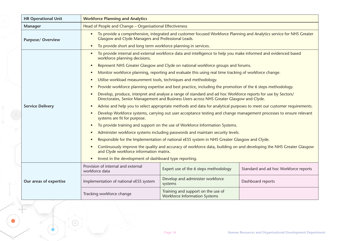| <b>HR Operational Unit</b>                                                                                                                                     | <b>Workforce Planning and Analytics</b>                                                                                                                                                                  |  |  |
|----------------------------------------------------------------------------------------------------------------------------------------------------------------|----------------------------------------------------------------------------------------------------------------------------------------------------------------------------------------------------------|--|--|
| <b>Manager</b>                                                                                                                                                 | Head of People and Change - Organisational Effectiveness                                                                                                                                                 |  |  |
| <b>Purpose/ Overview</b>                                                                                                                                       | To provide a comprehensive, integrated and customer focused Workforce Planning and Analytics service for NHS Greater<br>$\bullet$<br>Glasgow and Clyde Managers and Professional Leads.                  |  |  |
|                                                                                                                                                                | To provide short and long term workforce planning in services.                                                                                                                                           |  |  |
|                                                                                                                                                                | To provide internal and external workforce data and intelligence to help you make informed and evidenced based<br>workforce planning decisions.                                                          |  |  |
|                                                                                                                                                                | Represent NHS Greater Glasgow and Clyde on national workforce groups and forums.                                                                                                                         |  |  |
|                                                                                                                                                                | Monitor workforce planning, reporting and evaluate this using real time tracking of workforce change.<br>$\bullet$                                                                                       |  |  |
|                                                                                                                                                                | Utilise workload measurement tools, techniques and methodology.                                                                                                                                          |  |  |
|                                                                                                                                                                | Provide workforce planning expertise and best practice, including the promotion of the 6 steps methodology.                                                                                              |  |  |
|                                                                                                                                                                | Develop, produce, interpret and analyse a range of standard and ad hoc Workforce reports for use by Sectors/<br>Directorates, Senior Management and Business Users across NHS Greater Glasgow and Clyde. |  |  |
| <b>Service Delivery</b>                                                                                                                                        | Advise and help you to select appropriate methods and data for analytical purposes to meet our customer requirements.                                                                                    |  |  |
|                                                                                                                                                                | Develop Workforce systems, carrying out user acceptance testing and change management processes to ensure relevant<br>systems are fit for purpose.                                                       |  |  |
|                                                                                                                                                                | To provide training and support on the use of Workforce Information Systems.                                                                                                                             |  |  |
|                                                                                                                                                                | Administer workforce systems including passwords and maintain security levels.                                                                                                                           |  |  |
| Responsible for the Implementation of national eESS system in NHS Greater Glasgow and Clyde.                                                                   |                                                                                                                                                                                                          |  |  |
| Continuously improve the quality and accuracy of workforce data, building on and developing the NHS Greater Glasgow<br>and Clyde workforce information matrix. |                                                                                                                                                                                                          |  |  |
|                                                                                                                                                                | Invest in the development of dashboard type reporting.                                                                                                                                                   |  |  |
|                                                                                                                                                                | Provision of internal and external<br>Standard and ad hoc Workforce reports<br>Expert use of the 6 steps methodology<br>workforce data                                                                   |  |  |
| Our areas of expertise                                                                                                                                         | Develop and administer workforce<br>Dashboard reports<br>Implementation of national eESS system<br>systems                                                                                               |  |  |
|                                                                                                                                                                | Training and support on the use of<br>Tracking workforce change<br>Workforce Information Systems                                                                                                         |  |  |

 $\bullet$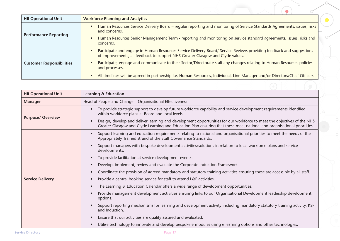| <b>HR Operational Unit</b>       | <b>Workforce Planning and Analytics</b>                                                                                                                                                                             |
|----------------------------------|---------------------------------------------------------------------------------------------------------------------------------------------------------------------------------------------------------------------|
| <b>Performance Reporting</b>     | Human Resources Service Delivery Board – regular reporting and monitoring of Service Standards Agreements, issues, risks<br>and concerns.                                                                           |
|                                  | Human Resources Senior Management Team - reporting and monitoring on service standard agreements, issues, risks and<br>$\bullet$<br>concerns.                                                                       |
| <b>Customer Responsibilities</b> | Participate and engage in Human Resources Service Delivery Board/ Service Reviews providing feedback and suggestions<br>$\bullet$<br>of improvements, all feedback to support NHS Greater Glasgow and Clyde values. |
|                                  | Participate, engage and communicate to their Sector/Directorate staff any changes relating to Human Resources policies<br>and processes.                                                                            |
|                                  | All timelines will be agreed in partnership i.e. Human Resources, Individual, Line Manager and/or Directors/Chief Officers.<br>$\bullet$                                                                            |

 $\circ$ 

 $\bigcap$ 

 $\bullet$ 

| <b>HR Operational Unit</b> | Learning & Education                                                                                                                                                                                                                              |  |  |
|----------------------------|---------------------------------------------------------------------------------------------------------------------------------------------------------------------------------------------------------------------------------------------------|--|--|
| <b>Manager</b>             | Head of People and Change - Organisational Effectiveness                                                                                                                                                                                          |  |  |
|                            | To provide strategic support to develop future workforce capability and service development requirements identified<br>within workforce plans at Board and local levels.                                                                          |  |  |
| <b>Purpose/ Overview</b>   | Design, develop and deliver learning and development opportunities for our workforce to meet the objectives of the NHS<br>Greater Glasgow and Clyde Learning and Education Plan ensuring that these meet national and organisational priortities. |  |  |
|                            | Support learning and education requirements relating to national and organisational priorities to meet the needs of the<br>Appropriately Trained strand of the Staff Governance Standards.                                                        |  |  |
|                            | Support managers with bespoke development activities/solutions in relation to local workforce plans and service<br>developments.                                                                                                                  |  |  |
|                            | To provide facilitation at service development events.                                                                                                                                                                                            |  |  |
|                            | Develop, implement, review and evaluate the Corporate Induction Framework.<br>$\bullet$                                                                                                                                                           |  |  |
|                            | Coordinate the provision of agreed mandatory and statutory training activities ensuring these are accessible by all staff.<br>$\bullet$                                                                                                           |  |  |
| <b>Service Delivery</b>    | Provide a central booking service for staff to attend L&E activities.                                                                                                                                                                             |  |  |
|                            | The Learning & Education Calendar offers a wide range of development opportunities.                                                                                                                                                               |  |  |
|                            | Provide management development activities ensuring links to our Organisational Development leadership development<br>options.                                                                                                                     |  |  |
|                            | Support reporting mechanisms for learning and development activity including mandatory statutory training activity, KSF<br>and Induction.                                                                                                         |  |  |
|                            | Ensure that our activities are quality assured and evaluated.                                                                                                                                                                                     |  |  |
|                            | Utilise technology to innovate and develop bespoke e-modules using e-learning options and other technologies.                                                                                                                                     |  |  |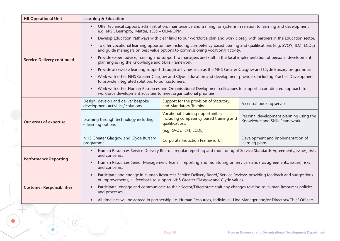| <b>HR Operational Unit</b>        | <b>Learning &amp; Education</b>                                                                                                                                                                             |                                                                                                                     |                                                                           |  |
|-----------------------------------|-------------------------------------------------------------------------------------------------------------------------------------------------------------------------------------------------------------|---------------------------------------------------------------------------------------------------------------------|---------------------------------------------------------------------------|--|
|                                   | Offer technical support, administration, maintenance and training for systems in relation to learning and development<br>e.g. eKSF, Learnpro, iMatter, eESS - OLM/OPM.                                      |                                                                                                                     |                                                                           |  |
|                                   | Develop Education Pathways with clear links to our workforce plan and work closely with partners in the Education sector.                                                                                   |                                                                                                                     |                                                                           |  |
|                                   | To offer vocational learning opportunities including competency based training and qualifications (e.g. SVQ's, ILM, ECDL)<br>and quide managers on best value options to commissioning vocational activity. |                                                                                                                     |                                                                           |  |
| <b>Service Delivery continued</b> | Provide expert advice, training and support to managers and staff in the local implementation of personal development<br>planning using the Knowledge and Skills Framework.                                 |                                                                                                                     |                                                                           |  |
|                                   |                                                                                                                                                                                                             | Provide accessible learning support through activities such as the NHS Greater Glasgow and Clyde Bursary programme. |                                                                           |  |
|                                   | Work with other NHS Greater Glasgow and Clyde education and development providers including Practice Development<br>to provide integrated solutions to our customers.                                       |                                                                                                                     |                                                                           |  |
|                                   | Work with other Human Resources and Organisational Devlopment colleagues to support a coordinated approach to<br>workforce development activities to meet organisational priorities.                        |                                                                                                                     |                                                                           |  |
|                                   | Design, develop and deliver bespoke<br>development activities/ solutions                                                                                                                                    | Support for the provision of Statutory<br>and Mandatory Training                                                    | A central booking service                                                 |  |
| Our areas of expertise            | Learning through technology including<br>e-learning options                                                                                                                                                 | Vocational training opportunities<br>including competency based training and<br>qualifications                      | Personal development planning using the<br>Knowledge and Skills Framework |  |
|                                   |                                                                                                                                                                                                             | (e.g. SVQs, ILM, ECDL)                                                                                              |                                                                           |  |
|                                   | NHS Greater Glasgow and Clyde Bursary<br>programme                                                                                                                                                          | <b>Corporate Induction Framework</b>                                                                                | Development and implementation of<br>learning plans                       |  |
| <b>Performance Reporting</b>      | Human Resources Service Delivery Board – regular reporting and monitoring of Service Standards Agreements, issues, risks<br>and concerns.                                                                   |                                                                                                                     |                                                                           |  |
|                                   | Human Resources Senior Management Team - reporting and monitoring on service standards agreements, issues, risks<br>and concerns.                                                                           |                                                                                                                     |                                                                           |  |
|                                   | Participate and engage in Human Resources Service Delivery Board/ Service Reviews providing feedback and suggestions<br>of improvements, all feedback to support NHS Greater Glasgow and Clyde values.      |                                                                                                                     |                                                                           |  |
| <b>Customer Responsibilities</b>  | Participate, engage and communicate to their Sector/Directorate staff any changes relating to Human Resources policies<br>and processes.                                                                    |                                                                                                                     |                                                                           |  |
|                                   | All timelines will be agreed in partnership i.e. Human Resources, Individual, Line Manager and/or Directors/Chief Officers.                                                                                 |                                                                                                                     |                                                                           |  |

 $\bullet$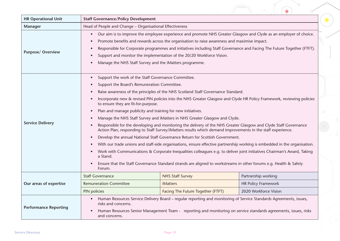| <b>HR Operational Unit</b>   | <b>Staff Governance/Policy Development</b>                                                                                                                                                                                                                                                                                                                                                                                                                                                                                                                                                                                                                                                                                                                                                                                                                                                                                                                                                                                                                                                                                                                                                                                                                                                                                                     |                                   |                            |
|------------------------------|------------------------------------------------------------------------------------------------------------------------------------------------------------------------------------------------------------------------------------------------------------------------------------------------------------------------------------------------------------------------------------------------------------------------------------------------------------------------------------------------------------------------------------------------------------------------------------------------------------------------------------------------------------------------------------------------------------------------------------------------------------------------------------------------------------------------------------------------------------------------------------------------------------------------------------------------------------------------------------------------------------------------------------------------------------------------------------------------------------------------------------------------------------------------------------------------------------------------------------------------------------------------------------------------------------------------------------------------|-----------------------------------|----------------------------|
| <b>Manager</b>               | Head of People and Change - Organisational Effectiveness                                                                                                                                                                                                                                                                                                                                                                                                                                                                                                                                                                                                                                                                                                                                                                                                                                                                                                                                                                                                                                                                                                                                                                                                                                                                                       |                                   |                            |
| <b>Purpose/ Overview</b>     | Our aim is to improve the employee experience and promote NHS Greater Glasgow and Clyde as an employer of choice.<br>$\bullet$<br>Promote benefits and rewards across the organisation to raise awareness and maximise impact.<br>$\bullet$<br>Responsible for Corporate programmes and initiatives including Staff Governance and Facing The Future Together (FTFT).<br>$\bullet$<br>Support and monitor the implementation of the 20/20 Workforce Vision.<br>$\bullet$<br>Manage the NHS Staff Survey and the iMatters programme.<br>$\bullet$                                                                                                                                                                                                                                                                                                                                                                                                                                                                                                                                                                                                                                                                                                                                                                                               |                                   |                            |
| <b>Service Delivery</b>      | Support the work of the Staff Governance Committee.<br>$\bullet$<br>Support the Board's Remuneration Committee.<br>$\bullet$<br>Raise awareness of the principles of the NHS Scotland Staff Governance Standard.<br>$\bullet$<br>Incorporate new & revised PIN policies into the NHS Greater Glasgow and Clyde HR Policy Framework, reviewing policies<br>$\bullet$<br>to ensure they are fit-for-purpose.<br>Plan and manage publicity and training for new initiatives.<br>$\bullet$<br>Manage the NHS Staff Survey and iMatters in NHS Greater Glasgow and Clyde.<br>$\bullet$<br>Responsible for the developing and monitoring the delivery of the NHS Greater Glasgow and Clyde Staff Governance<br>Action Plan, responding to Staff Survey/iMatters results which demand improvements in the staff experience.<br>Develop the annual National Staff Governance Return for Scottish Government.<br>$\bullet$<br>With our trade unions and staff-side organisations, ensure effective partnership working is embedded in the organisation.<br>$\bullet$<br>Work with Communications & Corporate Inequalities colleagues e.g. to deliver joint initiatives Chairman's Award, Taking<br>$\bullet$<br>a Stand.<br>Ensure that the Staff Governance Standard strands are aligned to workstreams in other forums e.g. Health & Safety<br>Forum. |                                   |                            |
|                              | <b>Staff Governance</b>                                                                                                                                                                                                                                                                                                                                                                                                                                                                                                                                                                                                                                                                                                                                                                                                                                                                                                                                                                                                                                                                                                                                                                                                                                                                                                                        | <b>NHS Staff Survey</b>           | Partnership working        |
| Our areas of expertise       | <b>Remuneration Committee</b>                                                                                                                                                                                                                                                                                                                                                                                                                                                                                                                                                                                                                                                                                                                                                                                                                                                                                                                                                                                                                                                                                                                                                                                                                                                                                                                  | <b>iMatters</b>                   | <b>HR Policy Framework</b> |
|                              | PIN policies                                                                                                                                                                                                                                                                                                                                                                                                                                                                                                                                                                                                                                                                                                                                                                                                                                                                                                                                                                                                                                                                                                                                                                                                                                                                                                                                   | Facing The Future Together (FTFT) | 2020 Workforce Vision      |
| <b>Performance Reporting</b> | Human Resources Service Delivery Board - regular reporting and monitoring of Service Standards Agreements, issues,<br>$\bullet$<br>risks and concerns.<br>Human Resources Senior Management Team - reporting and monitoring on service standards agreements, issues, risks<br>$\bullet$<br>and concerns.                                                                                                                                                                                                                                                                                                                                                                                                                                                                                                                                                                                                                                                                                                                                                                                                                                                                                                                                                                                                                                       |                                   |                            |

 $\sim$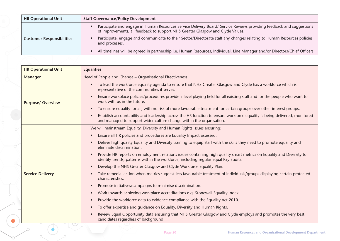| <b>HR Operational Unit</b>       | <b>Staff Governance/Policy Development</b>                                                                                                                                                             |  |  |
|----------------------------------|--------------------------------------------------------------------------------------------------------------------------------------------------------------------------------------------------------|--|--|
|                                  | Participate and engage in Human Resources Service Delivery Board/ Service Reviews providing feedback and suggestions<br>of improvements, all feedback to support NHS Greater Glasgow and Clyde Values. |  |  |
| <b>Customer Responsibilities</b> | Participate, engage and communicate to their Sector/Directorate staff any changes relating to Human Resources policies<br>and processes.                                                               |  |  |
|                                  | All timelines will be agreed in partnership i.e. Human Resources, Individual, Line Manager and/or Directors/Chief Officers.                                                                            |  |  |

| <b>HR Operational Unit</b> | <b>Equalities</b>                                                                                                                                                                                           |  |  |  |
|----------------------------|-------------------------------------------------------------------------------------------------------------------------------------------------------------------------------------------------------------|--|--|--|
| <b>Manager</b>             | Head of People and Change - Organisational Effectiveness                                                                                                                                                    |  |  |  |
|                            | To lead the workforce equality agenda to ensure that NHS Greater Glasgow and Clyde has a workforce which is<br>representative of the communities it serves.                                                 |  |  |  |
| <b>Purpose/ Overview</b>   | Ensure workplace policies/procedures provide a level playing field for all existing staff and for the people who want to<br>work with us in the future.                                                     |  |  |  |
|                            | To ensure equality for all, with no risk of more favourable treatment for certain groups over other interest groups.                                                                                        |  |  |  |
|                            | Establish accountability and leadership across the HR function to ensure workforce equality is being delivered, monitored<br>and managed to support wider culture change within the organisation.           |  |  |  |
|                            | We will mainstream Equality, Diversity and Human Rights issues ensuring:                                                                                                                                    |  |  |  |
|                            | Ensure all HR policies and procedures are Equality Impact assessed.                                                                                                                                         |  |  |  |
|                            | Deliver high quality Equality and Diversity training to equip staff with the skills they need to promote equality and<br>eliminate discrimination.                                                          |  |  |  |
|                            | Provide HR reports on employment relations issues containing high quality smart metrics on Equality and Diversity to<br>identify trends, patterns within the workforce, including regular Equal Pay audits. |  |  |  |
|                            | Develop the NHS Greater Glasgow and Clyde Workforce Equality Plan.                                                                                                                                          |  |  |  |
| <b>Service Delivery</b>    | Take remedial action when metrics suggest less favourable treatment of individuals/groups displaying certain protected<br>characteristics.                                                                  |  |  |  |
|                            | Promote initiatives/campaigns to minimise discrimination.                                                                                                                                                   |  |  |  |
|                            | Work towards achieving workplace accreditations e.g. Stonewall Equality Index                                                                                                                               |  |  |  |
|                            | Provide the workforce data to evidence compliance with the Equality Act 2010.                                                                                                                               |  |  |  |
|                            | To offer expertise and guidance on Equality, Diversity and Human Rights.                                                                                                                                    |  |  |  |
|                            | Review Equal Opportunity data ensuring that NHS Greater Glasgow and Clyde employs and promotes the very best<br>candidates regardless of background                                                         |  |  |  |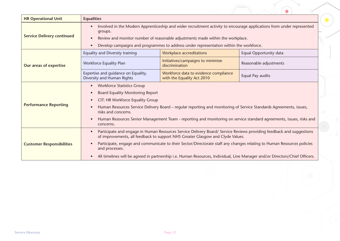| <b>HR Operational Unit</b>        | <b>Equalities</b>                                                                                                                                                                                                                                                                                                                                                                                                                                                                                                        |                                                                     |                         |
|-----------------------------------|--------------------------------------------------------------------------------------------------------------------------------------------------------------------------------------------------------------------------------------------------------------------------------------------------------------------------------------------------------------------------------------------------------------------------------------------------------------------------------------------------------------------------|---------------------------------------------------------------------|-------------------------|
| <b>Service Delivery continued</b> | Involved in the Modern Apprenticeship and wider recruitment activity to encourage applications from under represented<br>$\bullet$<br>groups.<br>Review and monitor number of reasonable adjustments made within the workplace.<br>$\bullet$<br>Develop campaigns and programmes to address under representation within the workforce.                                                                                                                                                                                   |                                                                     |                         |
|                                   | $\bullet$<br>Equality and Diversity training                                                                                                                                                                                                                                                                                                                                                                                                                                                                             | <b>Workplace accreditations</b>                                     | Equal Opportunity data  |
| Our areas of expertise            | <b>Workforce Equality Plan</b>                                                                                                                                                                                                                                                                                                                                                                                                                                                                                           | Initiatives/campaigns to minimise<br>discrimination                 | Reasonable adjustments  |
|                                   | Expertise and guidance on Equality,<br>Diversity and Human Rights                                                                                                                                                                                                                                                                                                                                                                                                                                                        | Workforce data to evidence compliance<br>with the Equality Act 2010 | <b>Equal Pay audits</b> |
| <b>Performance Reporting</b>      | <b>Workforce Statistics Group</b><br>$\bullet$<br><b>Board Equality Monitoring Report</b><br>$\bullet$<br>CIT: HR Workforce Equality Group<br>$\bullet$<br>Human Resources Service Delivery Board – regular reporting and monitoring of Service Standards Agreements, issues,<br>$\bullet$<br>risks and concerns.<br>Human Resources Senior Management Team - reporting and monitoring on service standard agreements, issues, risks and<br>$\bullet$<br>concerns.                                                       |                                                                     |                         |
| <b>Customer Responsibilities</b>  | Participate and engage in Human Resources Service Delivery Board/ Service Reviews providing feedback and suggestions<br>$\bullet$<br>of improvements, all feedback to support NHS Greater Glasgow and Clyde Values.<br>Participate, engage and communicate to their Sector/Directorate staff any changes relating to Human Resources policies<br>$\bullet$<br>and processes.<br>All timelines will be agreed in partnership i.e. Human Resources, Individual, Line Manager and/or Directors/Chief Officers.<br>$\bullet$ |                                                                     |                         |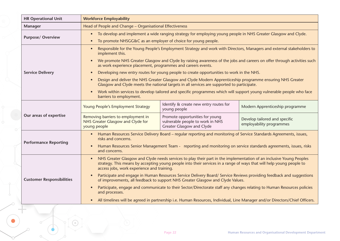| <b>HR Operational Unit</b>                                                                                                                                                                                                                                                                                                         | <b>Workforce Employability</b>                                                                                                                                                                                                                                                                                                                                                                                                                                                                                                                                                                                                                  |                                                                                                                                                                                                                                                                                                                                                                                                                             |                                                           |
|------------------------------------------------------------------------------------------------------------------------------------------------------------------------------------------------------------------------------------------------------------------------------------------------------------------------------------|-------------------------------------------------------------------------------------------------------------------------------------------------------------------------------------------------------------------------------------------------------------------------------------------------------------------------------------------------------------------------------------------------------------------------------------------------------------------------------------------------------------------------------------------------------------------------------------------------------------------------------------------------|-----------------------------------------------------------------------------------------------------------------------------------------------------------------------------------------------------------------------------------------------------------------------------------------------------------------------------------------------------------------------------------------------------------------------------|-----------------------------------------------------------|
| Manager                                                                                                                                                                                                                                                                                                                            | Head of People and Change - Organisational Effectiveness                                                                                                                                                                                                                                                                                                                                                                                                                                                                                                                                                                                        |                                                                                                                                                                                                                                                                                                                                                                                                                             |                                                           |
| <b>Purpose/ Overview</b>                                                                                                                                                                                                                                                                                                           | To develop and implement a wide ranging strategy for employing young people in NHS Greater Glasgow and Clyde.<br>$\bullet$<br>To promote NHSGG&C as an employer of choice for young people.                                                                                                                                                                                                                                                                                                                                                                                                                                                     |                                                                                                                                                                                                                                                                                                                                                                                                                             |                                                           |
| Responsible for the Young People's Employment Strategy and work with Directors, Managers and external stakeholders to<br>implement this.<br>We promote NHS Greater Glasgow and Clyde by raising awareness of the jobs and careers on offer through activities such<br>as work experience placement, programmes and careers events. |                                                                                                                                                                                                                                                                                                                                                                                                                                                                                                                                                                                                                                                 |                                                                                                                                                                                                                                                                                                                                                                                                                             |                                                           |
| <b>Service Delivery</b>                                                                                                                                                                                                                                                                                                            | $\bullet$<br>barriers to employment.                                                                                                                                                                                                                                                                                                                                                                                                                                                                                                                                                                                                            | Developing new entry routes for young people to create opportunities to work in the NHS.<br>Design and deliver the NHS Greater Glasgow and Clyde Modern Apprenticeship programme ensuring NHS Greater<br>Glasgow and Clyde meets the national targets in all services are supported to participate.<br>Work within services to develop tailored and specific programmes which will support young vulnerable people who face |                                                           |
|                                                                                                                                                                                                                                                                                                                                    | Young People's Employment Strategy                                                                                                                                                                                                                                                                                                                                                                                                                                                                                                                                                                                                              | Identify & create new entry routes for<br>young people                                                                                                                                                                                                                                                                                                                                                                      | Modern Apprenticeship programme                           |
| Our areas of expertise                                                                                                                                                                                                                                                                                                             | Removing barriers to employment in<br>NHS Greater Glasgow and Clyde for<br>young people                                                                                                                                                                                                                                                                                                                                                                                                                                                                                                                                                         | Promote opportunities for young<br>vulnerable people to work in NHS<br>Greater Glasgow and Clyde                                                                                                                                                                                                                                                                                                                            | Develop tailored and specific<br>employability programmes |
| <b>Performance Reporting</b>                                                                                                                                                                                                                                                                                                       | Human Resources Service Delivery Board – regular reporting and monitoring of Service Standards Agreements, issues,<br>risks and concerns.<br>Human Resources Senior Management Team - reporting and monitoring on service standards agreements, issues, risks<br>and concerns.                                                                                                                                                                                                                                                                                                                                                                  |                                                                                                                                                                                                                                                                                                                                                                                                                             |                                                           |
| <b>Customer Responsibilities</b>                                                                                                                                                                                                                                                                                                   | NHS Greater Glasgow and Clyde needs services to play their part in the implementation of an inclusive Young Peoples<br>strategy. This means by accepting young people into their services in a range of ways that will help young people to<br>access jobs, work experience and training.<br>Participate and engage in Human Resources Service Delivery Board/ Service Reviews providing feedback and suggestions<br>of improvements, all feedback to support NHS Greater Glasgow and Clyde Values.<br>Participate, engage and communicate to their Sector/Directorate staff any changes relating to Human Resources policies<br>and processes. |                                                                                                                                                                                                                                                                                                                                                                                                                             |                                                           |
|                                                                                                                                                                                                                                                                                                                                    |                                                                                                                                                                                                                                                                                                                                                                                                                                                                                                                                                                                                                                                 | All timelines will be agreed in partnership i.e. Human Resources, Individual, Line Manager and/or Directors/Chief Officers.                                                                                                                                                                                                                                                                                                 |                                                           |

 $\bullet$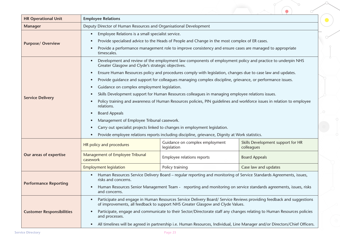| <b>HR Operational Unit</b>       | <b>Employee Relations</b>                                                                                                                                                                                           |                                                                                                            |                                                 |  |
|----------------------------------|---------------------------------------------------------------------------------------------------------------------------------------------------------------------------------------------------------------------|------------------------------------------------------------------------------------------------------------|-------------------------------------------------|--|
| <b>Manager</b>                   | Deputy Director of Human Resources and Organisational Development                                                                                                                                                   |                                                                                                            |                                                 |  |
|                                  | Employee Relations is a small specialist service.<br>$\bullet$                                                                                                                                                      |                                                                                                            |                                                 |  |
| <b>Purpose/ Overview</b>         | $\bullet$                                                                                                                                                                                                           | Provide specialised advice to the Heads of People and Change in the most complex of ER cases.              |                                                 |  |
|                                  | $\bullet$<br>timescales.                                                                                                                                                                                            | Provide a performance management role to improve consistency and ensure cases are managed to appropriate   |                                                 |  |
|                                  | $\bullet$<br>Greater Glasgow and Clyde's strategic objectives.                                                                                                                                                      | Development and review of the employment law components of employment policy and practice to underpin NHS  |                                                 |  |
|                                  | $\bullet$                                                                                                                                                                                                           | Ensure Human Resources policy and procedures comply with legislation, changes due to case law and updates. |                                                 |  |
|                                  | $\bullet$                                                                                                                                                                                                           | Provide guidance and support for colleagues managing complex discipline, grievance, or performance issues. |                                                 |  |
|                                  | Guidance on complex employment legislation.<br>$\bullet$                                                                                                                                                            |                                                                                                            |                                                 |  |
|                                  | $\bullet$                                                                                                                                                                                                           | Skills Development support for Human Resources colleagues in managing employee relations issues.           |                                                 |  |
| <b>Service Delivery</b>          | Policy training and awareness of Human Resources policies, PIN guidelines and workforce issues in relation to employee<br>$\bullet$<br>relations.                                                                   |                                                                                                            |                                                 |  |
|                                  | <b>Board Appeals</b><br>$\bullet$                                                                                                                                                                                   |                                                                                                            |                                                 |  |
|                                  | Management of Employee Tribunal casework.<br>$\bullet$                                                                                                                                                              |                                                                                                            |                                                 |  |
|                                  | Carry out specialist projects linked to changes in employment legislation.<br>$\bullet$                                                                                                                             |                                                                                                            |                                                 |  |
|                                  | Provide employee relations reports including discipline, grievance, Dignity at Work statistics.<br>$\bullet$                                                                                                        |                                                                                                            |                                                 |  |
|                                  | HR policy and procedures                                                                                                                                                                                            | Guidance on complex employment<br>legislation                                                              | Skills Development support for HR<br>colleagues |  |
| Our areas of expertise           | Management of Employee Tribunal<br>casework                                                                                                                                                                         | Employee relations reports                                                                                 | <b>Board Appeals</b>                            |  |
|                                  | <b>Employment legislation</b>                                                                                                                                                                                       | Policy training                                                                                            | Case law and updates                            |  |
|                                  | Human Resources Service Delivery Board – regular reporting and monitoring of Service Standards Agreements, issues,<br>$\bullet$<br>risks and concerns.                                                              |                                                                                                            |                                                 |  |
| <b>Performance Reporting</b>     | Human Resources Senior Management Team - reporting and monitoring on service standards agreements, issues, risks<br>$\bullet$<br>and concerns.                                                                      |                                                                                                            |                                                 |  |
|                                  | Participate and engage in Human Resources Service Delivery Board/ Service Reviews providing feedback and suggestions<br>$\bullet$<br>of improvements, all feedback to support NHS Greater Glasgow and Clyde Values. |                                                                                                            |                                                 |  |
| <b>Customer Responsibilities</b> | Participate, engage and communicate to their Sector/Directorate staff any changes relating to Human Resources policies<br>$\bullet$<br>and processes.                                                               |                                                                                                            |                                                 |  |
|                                  | All timelines will be agreed in partnership i.e. Human Resources, Individual, Line Manager and/or Directors/Chief Officers.<br>$\bullet$                                                                            |                                                                                                            |                                                 |  |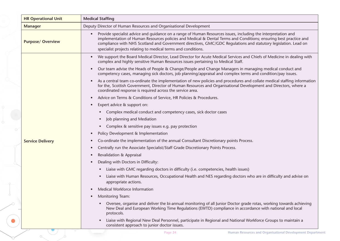| <b>HR Operational Unit</b> | <b>Medical Staffing</b>                                                                                                                                                                                                                                                                                                                                                                                              |  |  |
|----------------------------|----------------------------------------------------------------------------------------------------------------------------------------------------------------------------------------------------------------------------------------------------------------------------------------------------------------------------------------------------------------------------------------------------------------------|--|--|
| <b>Manager</b>             | Deputy Director of Human Resources and Organisational Development                                                                                                                                                                                                                                                                                                                                                    |  |  |
| <b>Purpose/ Overview</b>   | Provide specialist advice and guidance on a range of Human Resources issues, including the interpretation and<br>implementation of Human Resources policies and Medical & Dental Terms and Conditions; ensuring best practice and<br>compliance with NHS Scotland and Government directives, GMC/GDC Regulations and statutory legislation. Lead on<br>specialist projects relating to medical terms and conditions. |  |  |
|                            | We support the Board Medical Director, Lead Director for Acute Medical Services and Chiefs of Medicine in dealing with<br>complex and highly sensitive Human Resources issues pertaining to Medical Staff.                                                                                                                                                                                                           |  |  |
|                            | Our team advise the Heads of People & Change/People and Change Managers in managing medical conduct and<br>competency cases, managing sick doctors, job planning/appraisal and complex terms and condition/pay issues.                                                                                                                                                                                               |  |  |
|                            | As a central team co-ordinate the implementation of new policies and procedures and collate medical staffing information<br>for the, Scottish Government, Director of Human Resources and Organisational Development and Directors, where a<br>coordinated response is required across the service area.                                                                                                             |  |  |
|                            | Advice on Terms & Conditions of Service, HR Policies & Procedures.                                                                                                                                                                                                                                                                                                                                                   |  |  |
|                            | Expert advice & support on:                                                                                                                                                                                                                                                                                                                                                                                          |  |  |
|                            | Complex medical conduct and competency cases, sick doctor cases                                                                                                                                                                                                                                                                                                                                                      |  |  |
|                            | Job planning and Mediation                                                                                                                                                                                                                                                                                                                                                                                           |  |  |
|                            | Complex & sensitive pay issues e.g. pay protection                                                                                                                                                                                                                                                                                                                                                                   |  |  |
|                            | Policy Development & Implementation                                                                                                                                                                                                                                                                                                                                                                                  |  |  |
| <b>Service Delivery</b>    | Co-ordinate the implementation of the annual Consultant Discretionary points Process.                                                                                                                                                                                                                                                                                                                                |  |  |
|                            | Centrally run the Associate Specialist/Staff Grade Discretionary Points Process.                                                                                                                                                                                                                                                                                                                                     |  |  |
|                            | Revalidation & Appraisal                                                                                                                                                                                                                                                                                                                                                                                             |  |  |
|                            | Dealing with Doctors in Difficulty:                                                                                                                                                                                                                                                                                                                                                                                  |  |  |
|                            | Liaise with GMC regarding doctors in difficulty (i.e. competencies, health issues)<br>٠                                                                                                                                                                                                                                                                                                                              |  |  |
|                            | Liaise with Human Resources, Occupational Health and NES regarding doctors who are in difficulty and advise on<br>٠<br>appropriate actions.                                                                                                                                                                                                                                                                          |  |  |
|                            | Medical Workforce Information                                                                                                                                                                                                                                                                                                                                                                                        |  |  |
|                            | Monitoring Team:                                                                                                                                                                                                                                                                                                                                                                                                     |  |  |
|                            | Oversee, organise and deliver the bi-annual monitoring of all Junior Doctor grade rotas, working towards achieving<br>٠<br>New Deal and European Working Time Regulations (EWTD) compliance in accordance with national and local<br>protocols.                                                                                                                                                                      |  |  |
|                            | Liaise with Regional New Deal Personnel, participate in Regional and National Workforce Groups to maintain a<br>۰<br>consistent approach to junior doctor issues.                                                                                                                                                                                                                                                    |  |  |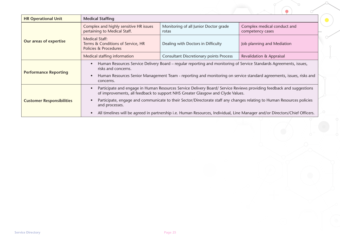| <b>HR Operational Unit</b>       | <b>Medical Staffing</b>                                                                                                                                                                                             |                                                                                                                             |                                                 |
|----------------------------------|---------------------------------------------------------------------------------------------------------------------------------------------------------------------------------------------------------------------|-----------------------------------------------------------------------------------------------------------------------------|-------------------------------------------------|
| Our areas of expertise           | Complex and highly sensitive HR issues<br>pertaining to Medical Staff.                                                                                                                                              | Monitoring of all Junior Doctor grade<br>rotas                                                                              | Complex medical conduct and<br>competency cases |
|                                  | <b>Medical Staff:</b><br>Terms & Conditions of Service, HR<br>Policies & Procedures                                                                                                                                 | Dealing with Doctors in Difficulty                                                                                          | Job planning and Mediation                      |
|                                  | Medical staffing information                                                                                                                                                                                        | <b>Consultant Discretionary points Process</b>                                                                              | Revalidation & Appraisal                        |
| <b>Performance Reporting</b>     | Human Resources Service Delivery Board – regular reporting and monitoring of Service Standards Agreements, issues,<br>$\bullet$<br>risks and concerns.                                                              |                                                                                                                             |                                                 |
|                                  | Human Resources Senior Management Team - reporting and monitoring on service standard agreements, issues, risks and<br>$\bullet$<br>concerns.                                                                       |                                                                                                                             |                                                 |
| <b>Customer Responsibilities</b> | Participate and engage in Human Resources Service Delivery Board/ Service Reviews providing feedback and suggestions<br>$\bullet$<br>of improvements, all feedback to support NHS Greater Glasgow and Clyde Values. |                                                                                                                             |                                                 |
|                                  | Participate, engage and communicate to their Sector/Directorate staff any changes relating to Human Resources policies<br>and processes.                                                                            |                                                                                                                             |                                                 |
|                                  | $\bullet$                                                                                                                                                                                                           | All timelines will be agreed in partnership i.e. Human Resources, Individual, Line Manager and/or Directors/Chief Officers. |                                                 |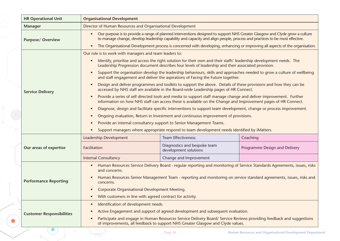| <b>HR Operational Unit</b>       | <b>Organisational Development</b>                                                                                                                                                                                                                         |                                                       |                               |  |
|----------------------------------|-----------------------------------------------------------------------------------------------------------------------------------------------------------------------------------------------------------------------------------------------------------|-------------------------------------------------------|-------------------------------|--|
| <b>Manager</b>                   | Director of Human Resources and Organisational Development                                                                                                                                                                                                |                                                       |                               |  |
| <b>Purpose/ Overview</b>         | Our purpose is to provide a range of planned interventions designed to support NHS Greater Glasgow and Clyde grow a culture<br>to manage change, develop leadership capability and capacity and align people, process and practices to be most effective. |                                                       |                               |  |
|                                  | The Organisational Development process is concerned with developing, enhancing or improving all aspects of the organisation.                                                                                                                              |                                                       |                               |  |
| <b>Service Delivery</b>          | Our role is to work with managers and team leaders to:                                                                                                                                                                                                    |                                                       |                               |  |
|                                  | Identify, prioritise and access the right solution for their own and their staffs' leadership development needs. The<br>Leadership Progression document describes four levels of leadership and their associated provision.                               |                                                       |                               |  |
|                                  | Support the organisation develop the leadership behaviours, skills and approaches needed to grow a culture of wellbeing<br>and staff engagement and deliver the aspirations of Facing the Future together.                                                |                                                       |                               |  |
|                                  | Design and deliver programmes and toolkits to support the above. Details of these provisions and how they can be<br>accessed by NHS staff are available in the Board-wide Leadership pages of HR Connect.                                                 |                                                       |                               |  |
|                                  | Provide a series of self directed tools and media to support staff manage change and deliver improvement. Further<br>information on how NHS staff can access these is available on the Change and Improvement pages of HR Connect.                        |                                                       |                               |  |
|                                  | Diagnose, design and facilitate specific interventions to support team development, change or process improvement.                                                                                                                                        |                                                       |                               |  |
|                                  | Ongoing evaluation, Return in Investment and continuous improvement of provisions.                                                                                                                                                                        |                                                       |                               |  |
|                                  | Provide an internal consultancy support to Senior Management Teams.                                                                                                                                                                                       |                                                       |                               |  |
|                                  | Support managers where appropriate respond to team development needs identified by iMatters.                                                                                                                                                              |                                                       |                               |  |
| Our areas of expertise           | Leadership Development                                                                                                                                                                                                                                    | <b>Team Effectiveness</b>                             | Coaching                      |  |
|                                  | Facilitation                                                                                                                                                                                                                                              | Diagnostics and bespoke team<br>development solutions | Programme Design and Delivery |  |
|                                  | <b>Internal Consultancy</b>                                                                                                                                                                                                                               | Change and Improvement                                |                               |  |
| <b>Performance Reporting</b>     | Human Resources Service Delivery Board - regular reporting and monitoring of Service Standards Agreements, issues, risks<br>$\bullet$<br>and concerns.                                                                                                    |                                                       |                               |  |
|                                  | Human Resources Senior Management Team - reporting and monitoring on service standard agreements, issues, risks and<br>concerns.                                                                                                                          |                                                       |                               |  |
|                                  | Corporate Organisational Development Meeting.                                                                                                                                                                                                             |                                                       |                               |  |
|                                  | With customers in line with agreed contract for activity.<br>$\bullet$                                                                                                                                                                                    |                                                       |                               |  |
|                                  | Identification of development needs.                                                                                                                                                                                                                      |                                                       |                               |  |
| <b>Customer Responsibilities</b> | Active Engagement and support of agreed development and subsequent evaluation.                                                                                                                                                                            |                                                       |                               |  |
|                                  | Participate and engage in Human Resources Service Delivery Board/ Service Reviews providing feedback and suggestions<br>of improvements, all feedback to support NHS Greater Glasgow and Clyde values.                                                    |                                                       |                               |  |

 $\bullet$ 

 $\bullet$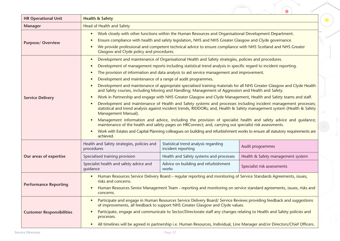| <b>HR Operational Unit</b>       | Health & Safety                                                                                                                                                                                                                                                                 |                                                            |                                   |  |
|----------------------------------|---------------------------------------------------------------------------------------------------------------------------------------------------------------------------------------------------------------------------------------------------------------------------------|------------------------------------------------------------|-----------------------------------|--|
| <b>Manager</b>                   | Head of Health and Safety                                                                                                                                                                                                                                                       |                                                            |                                   |  |
| <b>Purpose/ Overview</b>         | Work closely with other functions within the Human Resources and Organisational Development Department.<br>$\bullet$                                                                                                                                                            |                                                            |                                   |  |
|                                  | Ensure compliance with health and safety legislation, NHS and NHS Greater Glasgow and Clyde governance.<br>$\bullet$                                                                                                                                                            |                                                            |                                   |  |
|                                  | We provide professional and competent technical advice to ensure compliance with NHS Scotland and NHS Greater<br>$\bullet$<br>Glasgow and Clyde policy and procedures.                                                                                                          |                                                            |                                   |  |
| <b>Service Delivery</b>          | Development and maintenance of Organisational Health and Safety strategies, policies and procedures.<br>$\bullet$                                                                                                                                                               |                                                            |                                   |  |
|                                  | Development of management reports including statistical trend analysis in specific regard to incident reporting.<br>$\bullet$                                                                                                                                                   |                                                            |                                   |  |
|                                  | The provision of information and data analysis to aid service management and improvement.<br>$\bullet$                                                                                                                                                                          |                                                            |                                   |  |
|                                  | Development and maintenance of a range of audit programmes.<br>$\bullet$                                                                                                                                                                                                        |                                                            |                                   |  |
|                                  | Development and maintenance of appropriate specialised training materials for all NHS Greater Glasgow and Clyde Health<br>$\bullet$<br>and Safety courses, including Moving and Handling; Management of Aggression and Health and Safety.                                       |                                                            |                                   |  |
|                                  | Work in Partnership and engage with NHS Greater Glasgow and Clyde Management, Health and Safety teams and staff.<br>$\bullet$                                                                                                                                                   |                                                            |                                   |  |
|                                  | Development and maintenance of Health and Safety systems and processes including incident management processes;<br>$\bullet$<br>statistical and trend analysis against incident trends, RIDDORs; and, Health & Safety management system (Health & Safety<br>Management Manual). |                                                            |                                   |  |
|                                  | Management information and advice, including the provision of specialist health and safety advice and quidance;<br>$\bullet$<br>maintenance of the health and safety pages on HRConnect; and, carrying out specialist risk assessments.                                         |                                                            |                                   |  |
|                                  | Work with Estates and Capital Planning colleagues on building and refurbishment works to ensure all statutory requirements are<br>$\bullet$<br>achieved.                                                                                                                        |                                                            |                                   |  |
| Our areas of expertise           | Health and Safety strategies, policies and<br>procedures                                                                                                                                                                                                                        | Statistical trend analysis regarding<br>incident reporting | Audit programmes                  |  |
|                                  | Specialised training provision                                                                                                                                                                                                                                                  | Health and Safety systems and processes                    | Health & Safety management system |  |
|                                  | Specialist health and safety advice and<br>guidance                                                                                                                                                                                                                             | Advice on building and refurbishment<br>works              | Specialist risk assessments       |  |
| <b>Performance Reporting</b>     | Human Resources Service Delivery Board – regular reporting and monitoring of Service Standards Agreements, issues,<br>$\bullet$<br>risks and concerns.                                                                                                                          |                                                            |                                   |  |
|                                  | • Human Resources Senior Management Team - reporting and monitoring on service standard agreements, issues, risks and<br>concerns.                                                                                                                                              |                                                            |                                   |  |
| <b>Customer Responsibilities</b> | Participate and engage in Human Resources Service Delivery Board/ Service Reviews providing feedback and suggestions<br>$\bullet$<br>of improvements, all feedback to support NHS Greater Glasgow and Clyde values.                                                             |                                                            |                                   |  |
|                                  | Participate, engage and communicate to Sector/Directorate staff any changes relating to Health and Safety policies and<br>$\bullet$<br>processes.                                                                                                                               |                                                            |                                   |  |
|                                  | All timelines will be agreed in partnership i.e. Human Resources, Individual, Line Manager and/or Directors/Chief Officers.<br>$\bullet$                                                                                                                                        |                                                            |                                   |  |

 $\sim$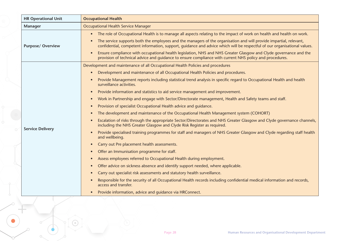| <b>HR Operational Unit</b> | <b>Occupational Health</b>                                                                                                                                                                                                                     |  |  |  |
|----------------------------|------------------------------------------------------------------------------------------------------------------------------------------------------------------------------------------------------------------------------------------------|--|--|--|
| <b>Manager</b>             | <b>Occupational Health Service Manager</b>                                                                                                                                                                                                     |  |  |  |
| <b>Purpose/ Overview</b>   | • The role of Occupational Health is to manage all aspects relating to the impact of work on health and health on work.                                                                                                                        |  |  |  |
|                            | The service supports both the employees and the managers of the organisation and will provide impartial, relevant,<br>confidential, competent information, support, quidance and advice which will be respectful of our organisational values. |  |  |  |
|                            | Ensure compliance with occupational health legislation, NHS and NHS Greater Glasgow and Clyde governance and the<br>provision of technical advice and quidance to ensure compliance with current NHS policy and procedures.                    |  |  |  |
| <b>Service Delivery</b>    | Development and maintenance of all Occupational Health Policies and procedures                                                                                                                                                                 |  |  |  |
|                            | Development and maintenance of all Occupational Health Policies and procedures.                                                                                                                                                                |  |  |  |
|                            | Provide Management reports including statistical trend analysis in specific regard to Occupational Health and health<br>surveillance activities.                                                                                               |  |  |  |
|                            | Provide information and statistics to aid service management and improvement.                                                                                                                                                                  |  |  |  |
|                            | Work in Partnership and engage with Sector/Directorate management, Health and Safety teams and staff.                                                                                                                                          |  |  |  |
|                            | Provision of specialist Occupational Health advice and quidance.                                                                                                                                                                               |  |  |  |
|                            | The development and maintenance of the Occupational Health Management system (COHORT)                                                                                                                                                          |  |  |  |
|                            | Escalation of risks through the appropriate Sector/Directorates and NHS Greater Glasgow and Clyde governance channels,<br>including the NHS Greater Glasgow and Clyde Risk Register as required.                                               |  |  |  |
|                            | Provide specialised training programmes for staff and managers of NHS Greater Glasgow and Clyde regarding staff health<br>and wellbeing.                                                                                                       |  |  |  |
|                            | Carry out Pre placement health assessments.                                                                                                                                                                                                    |  |  |  |
|                            | Offer an Immunisation programme for staff.                                                                                                                                                                                                     |  |  |  |
|                            | Assess employees referred to Occupational Health during employment.                                                                                                                                                                            |  |  |  |
|                            | Offer advice on sickness absence and identify support needed, where applicable.                                                                                                                                                                |  |  |  |
|                            | Carry out specialist risk assessments and statutory health surveillance.                                                                                                                                                                       |  |  |  |
|                            | Responsible for the security of all Occupational Health records including confidential medical information and records,<br>access and transfer.                                                                                                |  |  |  |
|                            | Provide information, advice and quidance via HRConnect.                                                                                                                                                                                        |  |  |  |

 $\bullet$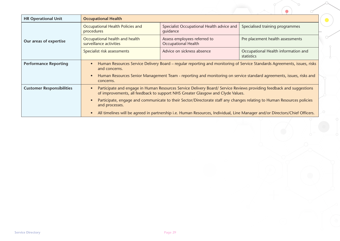| <b>HR Operational Unit</b>       | <b>Occupational Health</b>                                                                                                                                                                                          |                                                            |                                                   |  |
|----------------------------------|---------------------------------------------------------------------------------------------------------------------------------------------------------------------------------------------------------------------|------------------------------------------------------------|---------------------------------------------------|--|
| Our areas of expertise           | Occupational Health Policies and<br>procedures                                                                                                                                                                      | Specialist Occupational Health advice and<br>quidance      | Specialised training programmes                   |  |
|                                  | Occupational health and health<br>surveillance activities                                                                                                                                                           | Assess employees referred to<br><b>Occupational Health</b> | Pre placement health assessments                  |  |
|                                  | Specialist risk assessments                                                                                                                                                                                         | Advice on sickness absence                                 | Occupational Health information and<br>statistics |  |
| <b>Performance Reporting</b>     | Human Resources Service Delivery Board – regular reporting and monitoring of Service Standards Agreements, issues, risks<br>$\bullet$<br>and concerns.                                                              |                                                            |                                                   |  |
|                                  | Human Resources Senior Management Team - reporting and monitoring on service standard agreements, issues, risks and<br>$\bullet$<br>concerns.                                                                       |                                                            |                                                   |  |
| <b>Customer Responsibilities</b> | Participate and engage in Human Resources Service Delivery Board/ Service Reviews providing feedback and suggestions<br>$\bullet$<br>of improvements, all feedback to support NHS Greater Glasgow and Clyde Values. |                                                            |                                                   |  |
|                                  | Participate, engage and communicate to their Sector/Directorate staff any changes relating to Human Resources policies<br>and processes.                                                                            |                                                            |                                                   |  |
|                                  | All timelines will be agreed in partnership i.e. Human Resources, Individual, Line Manager and/or Directors/Chief Officers.<br>$\bullet$                                                                            |                                                            |                                                   |  |